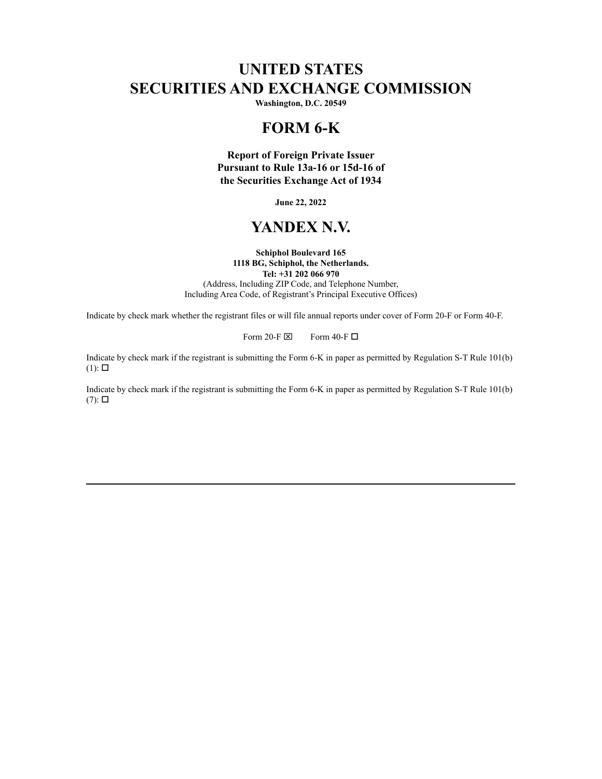# **UNITED STATES SECURITIES AND EXCHANGE COMMISSION**

**Washington, D.C. 20549**

## **FORM 6-K**

**Report of Foreign Private Issuer Pursuant to Rule 13a-16 or 15d-16 of the Securities Exchange Act of 1934**

**June 22, 2022**

## **YANDEX N.V.**

#### **Schiphol Boulevard 165 1118 BG, Schiphol, the Netherlands.**

**Tel: +31 202 066 970**

(Address, Including ZIP Code, and Telephone Number, Including Area Code, of Registrant's Principal Executive Offices)

Indicate by check mark whether the registrant files or will file annual reports under cover of Form 20-F or Form 40-F.

Form 20-F  $\boxtimes$  Form 40-F  $\Box$ 

Indicate by check mark if the registrant is submitting the Form 6-K in paper as permitted by Regulation S-T Rule 101(b)  $(1)$ :  $\square$ 

Indicate by check mark if the registrant is submitting the Form 6-K in paper as permitted by Regulation S-T Rule 101(b)  $(7)$ :  $\square$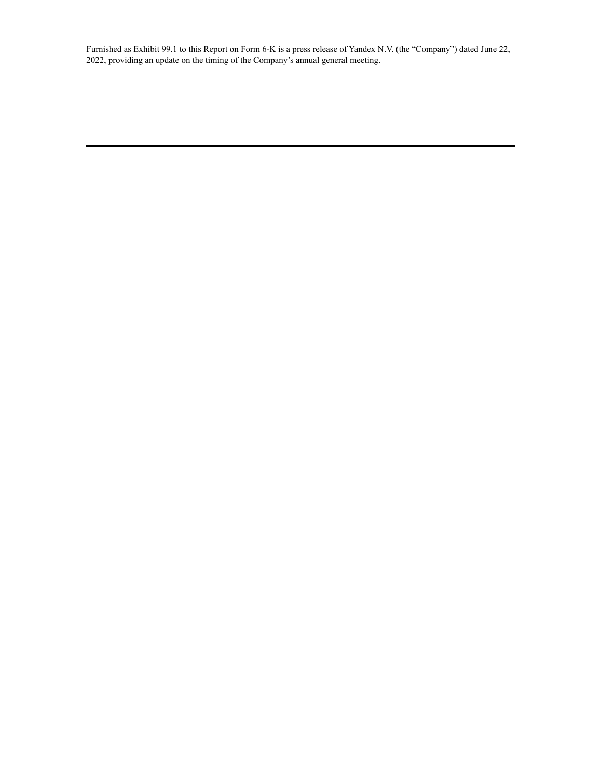Furnished as Exhibit 99.1 to this Report on Form 6-K is a press release of Yandex N.V. (the "Company") dated June 22, 2022, providing an update on the timing of the Company's annual general meeting.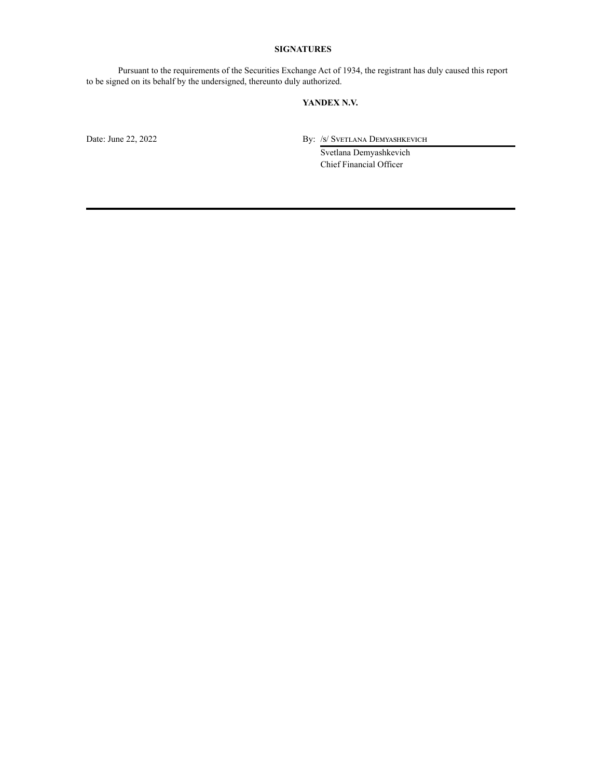#### **SIGNATURES**

Pursuant to the requirements of the Securities Exchange Act of 1934, the registrant has duly caused this report to be signed on its behalf by the undersigned, thereunto duly authorized.

#### **YANDEX N.V.**

Date: June 22, 2022 By: /s/ Svetlana Demyashkevich

Svetlana Demyashkevich Chief Financial Officer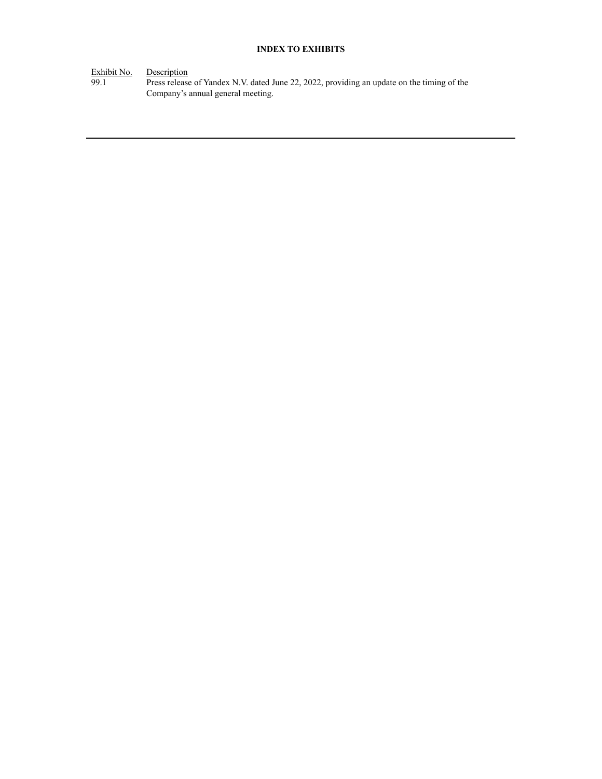#### **INDEX TO EXHIBITS**

Exhibit No. Description

99.1 Press release of Yandex N.V. dated June 22, 2022, providing an update on the timing of the Company's annual general meeting.